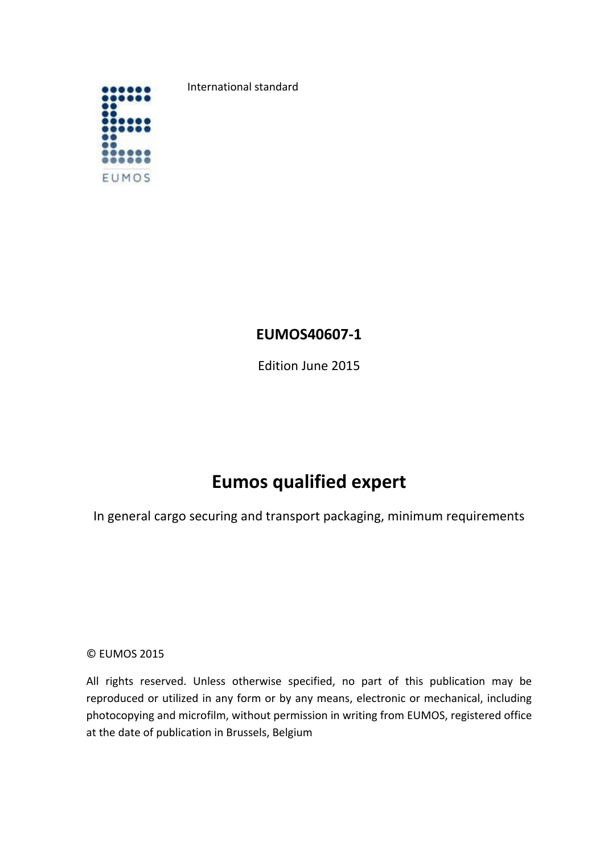

International standard

# **EUMOS40607‐1**

Edition June 2015

# **Eumos qualified expert**

In general cargo securing and transport packaging, minimum requirements

© EUMOS 2015

All rights reserved. Unless otherwise specified, no part of this publication may be reproduced or utilized in any form or by any means, electronic or mechanical, including photocopying and microfilm, without permission in writing from EUMOS, registered office at the date of publication in Brussels, Belgium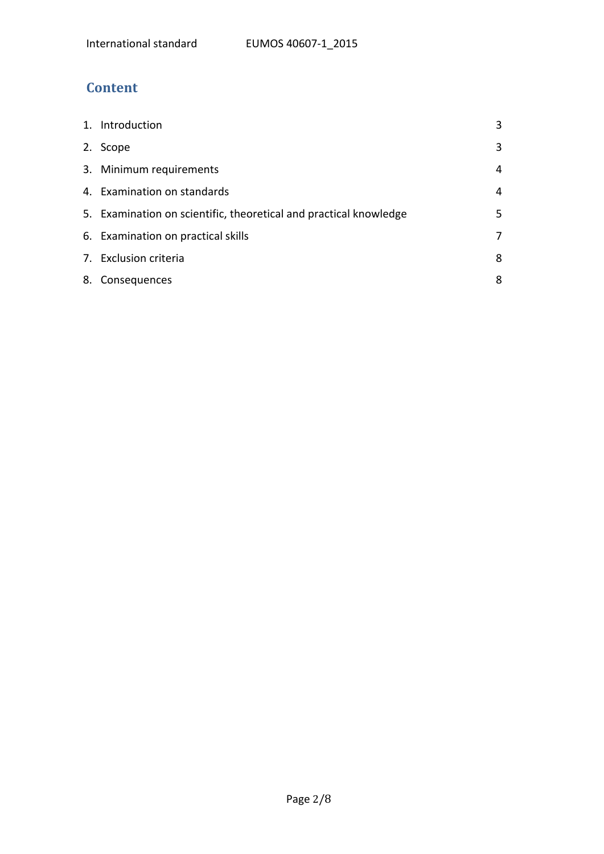# **Content**

| 1. Introduction                                                   | 3  |
|-------------------------------------------------------------------|----|
| 2. Scope                                                          | 3  |
| 3. Minimum requirements                                           | 4  |
| 4. Examination on standards                                       | 4  |
| 5. Examination on scientific, theoretical and practical knowledge | 5. |
| 6. Examination on practical skills                                | 7  |
| 7. Exclusion criteria                                             | 8  |
| 8. Consequences                                                   | 8  |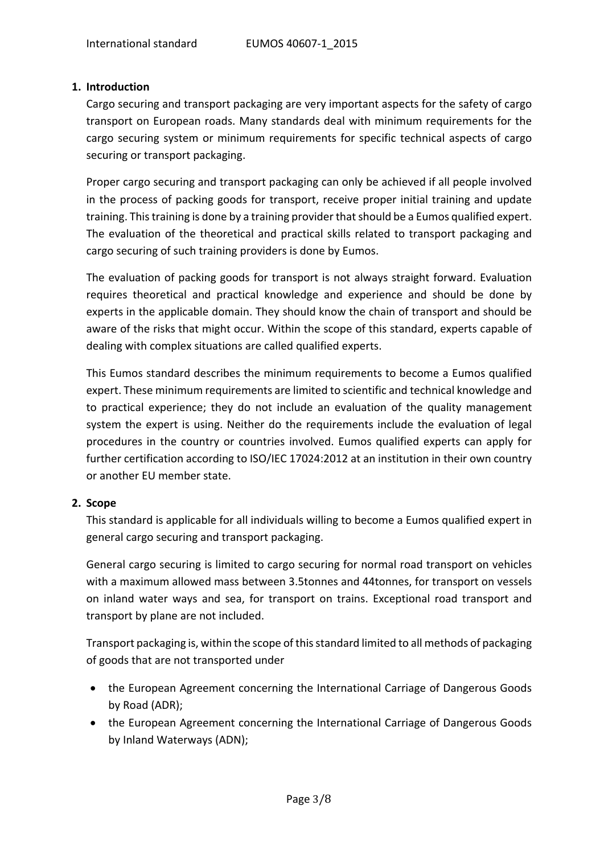# **1. Introduction**

Cargo securing and transport packaging are very important aspects for the safety of cargo transport on European roads. Many standards deal with minimum requirements for the cargo securing system or minimum requirements for specific technical aspects of cargo securing or transport packaging.

Proper cargo securing and transport packaging can only be achieved if all people involved in the process of packing goods for transport, receive proper initial training and update training. This training is done by a training provider that should be a Eumos qualified expert. The evaluation of the theoretical and practical skills related to transport packaging and cargo securing of such training providers is done by Eumos.

The evaluation of packing goods for transport is not always straight forward. Evaluation requires theoretical and practical knowledge and experience and should be done by experts in the applicable domain. They should know the chain of transport and should be aware of the risks that might occur. Within the scope of this standard, experts capable of dealing with complex situations are called qualified experts.

This Eumos standard describes the minimum requirements to become a Eumos qualified expert. These minimum requirements are limited to scientific and technical knowledge and to practical experience; they do not include an evaluation of the quality management system the expert is using. Neither do the requirements include the evaluation of legal procedures in the country or countries involved. Eumos qualified experts can apply for further certification according to ISO/IEC 17024:2012 at an institution in their own country or another EU member state.

# **2. Scope**

This standard is applicable for all individuals willing to become a Eumos qualified expert in general cargo securing and transport packaging.

General cargo securing is limited to cargo securing for normal road transport on vehicles with a maximum allowed mass between 3.5tonnes and 44tonnes, for transport on vessels on inland water ways and sea, for transport on trains. Exceptional road transport and transport by plane are not included.

Transport packaging is, within the scope of thisstandard limited to all methods of packaging of goods that are not transported under

- the European Agreement concerning the International Carriage of Dangerous Goods by Road (ADR);
- the European Agreement concerning the International Carriage of Dangerous Goods by Inland Waterways (ADN);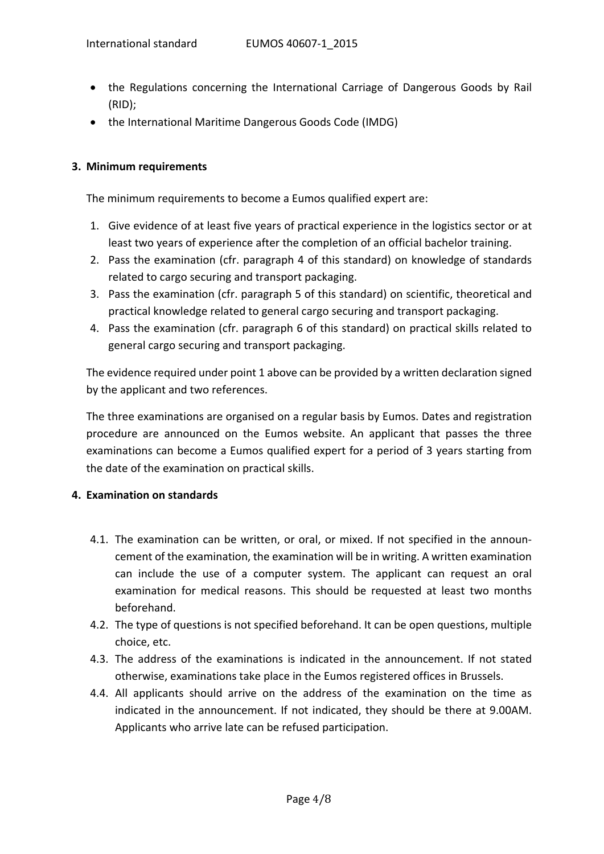- the Regulations concerning the International Carriage of Dangerous Goods by Rail (RID);
- the International Maritime Dangerous Goods Code (IMDG)

# **3. Minimum requirements**

The minimum requirements to become a Eumos qualified expert are:

- 1. Give evidence of at least five years of practical experience in the logistics sector or at least two years of experience after the completion of an official bachelor training.
- 2. Pass the examination (cfr. paragraph 4 of this standard) on knowledge of standards related to cargo securing and transport packaging.
- 3. Pass the examination (cfr. paragraph 5 of this standard) on scientific, theoretical and practical knowledge related to general cargo securing and transport packaging.
- 4. Pass the examination (cfr. paragraph 6 of this standard) on practical skills related to general cargo securing and transport packaging.

The evidence required under point 1 above can be provided by a written declaration signed by the applicant and two references.

The three examinations are organised on a regular basis by Eumos. Dates and registration procedure are announced on the Eumos website. An applicant that passes the three examinations can become a Eumos qualified expert for a period of 3 years starting from the date of the examination on practical skills.

# **4. Examination on standards**

- 4.1. The examination can be written, or oral, or mixed. If not specified in the announ‐ cement of the examination, the examination will be in writing. A written examination can include the use of a computer system. The applicant can request an oral examination for medical reasons. This should be requested at least two months beforehand.
- 4.2. The type of questions is not specified beforehand. It can be open questions, multiple choice, etc.
- 4.3. The address of the examinations is indicated in the announcement. If not stated otherwise, examinations take place in the Eumos registered offices in Brussels.
- 4.4. All applicants should arrive on the address of the examination on the time as indicated in the announcement. If not indicated, they should be there at 9.00AM. Applicants who arrive late can be refused participation.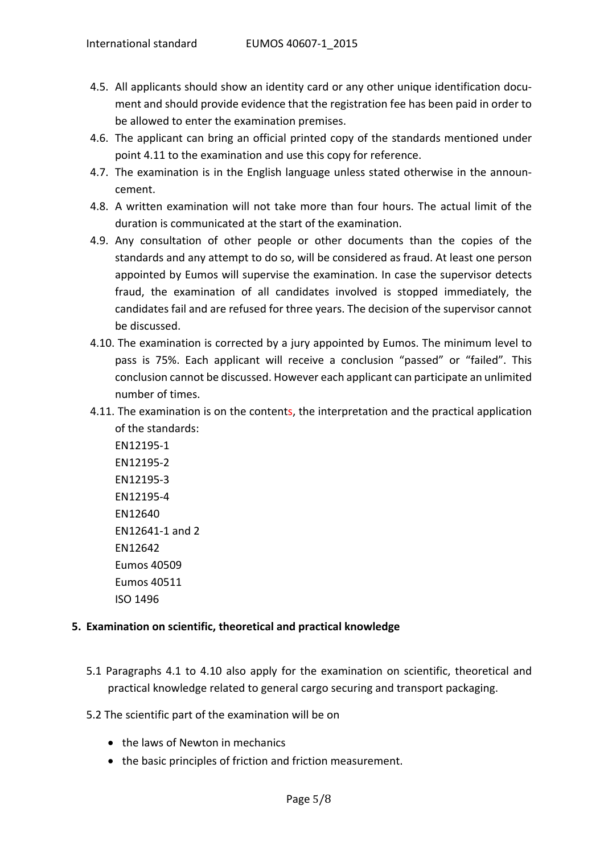- 4.5. All applicants should show an identity card or any other unique identification document and should provide evidence that the registration fee has been paid in order to be allowed to enter the examination premises.
- 4.6. The applicant can bring an official printed copy of the standards mentioned under point 4.11 to the examination and use this copy for reference.
- 4.7. The examination is in the English language unless stated otherwise in the announ‐ cement.
- 4.8. A written examination will not take more than four hours. The actual limit of the duration is communicated at the start of the examination.
- 4.9. Any consultation of other people or other documents than the copies of the standards and any attempt to do so, will be considered as fraud. At least one person appointed by Eumos will supervise the examination. In case the supervisor detects fraud, the examination of all candidates involved is stopped immediately, the candidates fail and are refused for three years. The decision of the supervisor cannot be discussed.
- 4.10. The examination is corrected by a jury appointed by Eumos. The minimum level to pass is 75%. Each applicant will receive a conclusion "passed" or "failed". This conclusion cannot be discussed. However each applicant can participate an unlimited number of times.
- 4.11. The examination is on the contents, the interpretation and the practical application of the standards:

EN12195‐1 EN12195‐2 EN12195‐3 EN12195‐4 EN12640 EN12641‐1 and 2 EN12642 Eumos 40509 Eumos 40511 ISO 1496

# **5. Examination on scientific, theoretical and practical knowledge**

- 5.1 Paragraphs 4.1 to 4.10 also apply for the examination on scientific, theoretical and practical knowledge related to general cargo securing and transport packaging.
- 5.2 The scientific part of the examination will be on
	- the laws of Newton in mechanics
	- the basic principles of friction and friction measurement.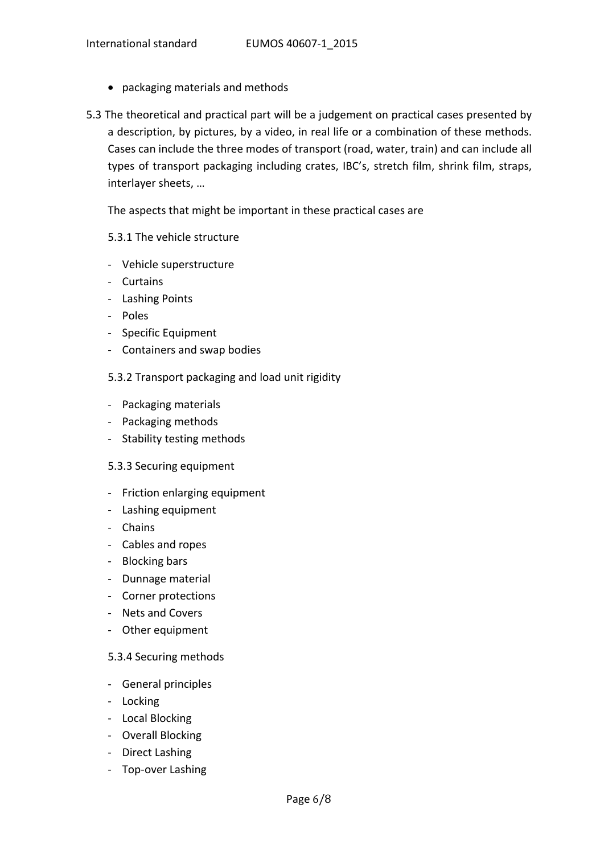- packaging materials and methods
- 5.3 The theoretical and practical part will be a judgement on practical cases presented by a description, by pictures, by a video, in real life or a combination of these methods. Cases can include the three modes of transport (road, water, train) and can include all types of transport packaging including crates, IBC's, stretch film, shrink film, straps, interlayer sheets, …

The aspects that might be important in these practical cases are

# 5.3.1 The vehicle structure

- ‐ Vehicle superstructure
- ‐ Curtains
- ‐ Lashing Points
- ‐ Poles
- ‐ Specific Equipment
- ‐ Containers and swap bodies
- 5.3.2 Transport packaging and load unit rigidity
- ‐ Packaging materials
- ‐ Packaging methods
- ‐ Stability testing methods
- 5.3.3 Securing equipment
- ‐ Friction enlarging equipment
- ‐ Lashing equipment
- ‐ Chains
- ‐ Cables and ropes
- ‐ Blocking bars
- ‐ Dunnage material
- ‐ Corner protections
- ‐ Nets and Covers
- ‐ Other equipment

#### 5.3.4 Securing methods

- ‐ General principles
- ‐ Locking
- ‐ Local Blocking
- ‐ Overall Blocking
- ‐ Direct Lashing
- ‐ Top‐over Lashing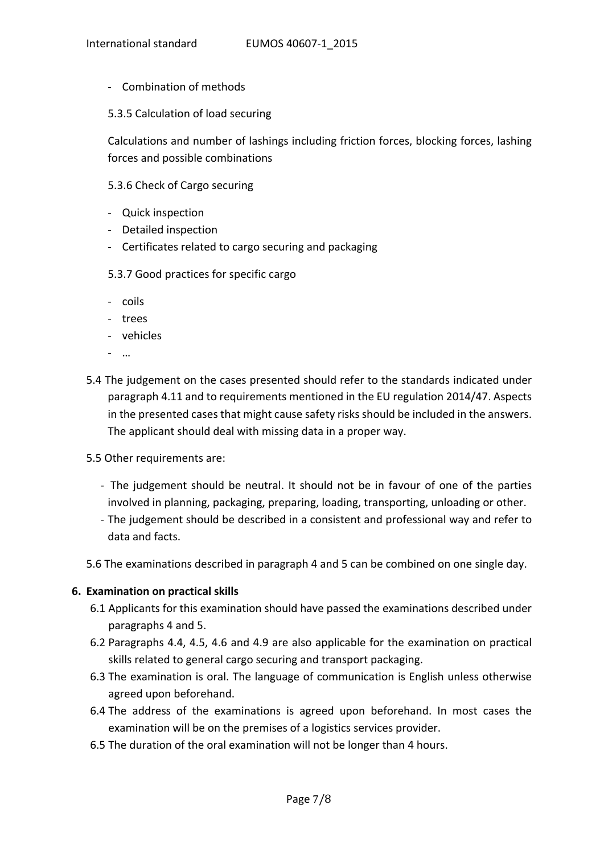- ‐ Combination of methods
- 5.3.5 Calculation of load securing

Calculations and number of lashings including friction forces, blocking forces, lashing forces and possible combinations

### 5.3.6 Check of Cargo securing

- ‐ Quick inspection
- ‐ Detailed inspection
- ‐ Certificates related to cargo securing and packaging
- 5.3.7 Good practices for specific cargo
- ‐ coils
- ‐ trees
- ‐ vehicles
- ‐ …
- 5.4 The judgement on the cases presented should refer to the standards indicated under paragraph 4.11 and to requirements mentioned in the EU regulation 2014/47. Aspects in the presented cases that might cause safety risks should be included in the answers. The applicant should deal with missing data in a proper way.
- 5.5 Other requirements are:
	- ‐ The judgement should be neutral. It should not be in favour of one of the parties involved in planning, packaging, preparing, loading, transporting, unloading or other.
	- ‐ The judgement should be described in a consistent and professional way and refer to data and facts.
- 5.6 The examinations described in paragraph 4 and 5 can be combined on one single day.

#### **6. Examination on practical skills**

- 6.1 Applicants for this examination should have passed the examinations described under paragraphs 4 and 5.
- 6.2 Paragraphs 4.4, 4.5, 4.6 and 4.9 are also applicable for the examination on practical skills related to general cargo securing and transport packaging.
- 6.3 The examination is oral. The language of communication is English unless otherwise agreed upon beforehand.
- 6.4 The address of the examinations is agreed upon beforehand. In most cases the examination will be on the premises of a logistics services provider.
- 6.5 The duration of the oral examination will not be longer than 4 hours.